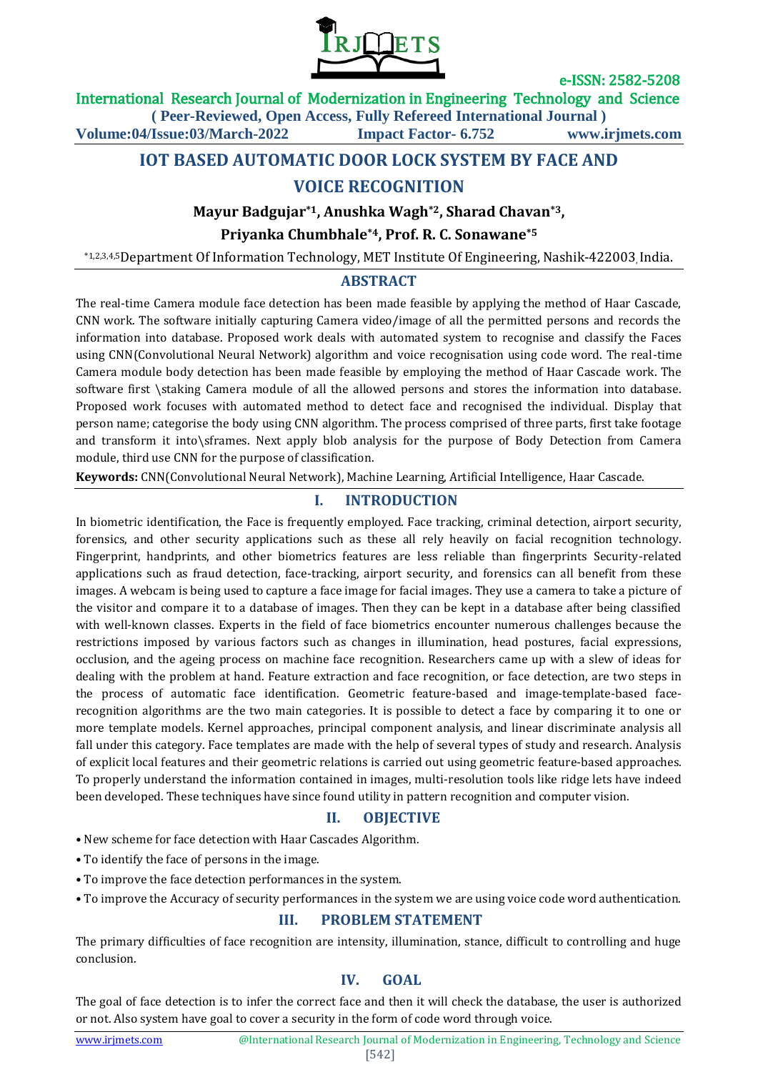

International Research Journal of Modernization in Engineering Technology and Science

**( Peer-Reviewed, Open Access, Fully Refereed International Journal )**

**Volume:04/Issue:03/March-2022 Impact Factor- 6.752 www.irjmets.com**

# **IOT BASED AUTOMATIC DOOR LOCK SYSTEM BY FACE AND**

# **VOICE RECOGNITION**

#### **Mayur Badgujar\*1, Anushka Wagh\*2, Sharad Chavan\*3,**

## **Priyanka Chumbhale\*4, Prof. R. C. Sonawane\*5**

\*1,2,3,4,5Department Of Information Technology, MET Institute Of Engineering, Nashik-422003, India.

#### **ABSTRACT**

The real-time Camera module face detection has been made feasible by applying the method of Haar Cascade, CNN work. The software initially capturing Camera video/image of all the permitted persons and records the information into database. Proposed work deals with automated system to recognise and classify the Faces using CNN(Convolutional Neural Network) algorithm and voice recognisation using code word. The real-time Camera module body detection has been made feasible by employing the method of Haar Cascade work. The software first \staking Camera module of all the allowed persons and stores the information into database. Proposed work focuses with automated method to detect face and recognised the individual. Display that person name; categorise the body using CNN algorithm. The process comprised of three parts, first take footage and transform it into\sframes. Next apply blob analysis for the purpose of Body Detection from Camera module, third use CNN for the purpose of classification.

**Keywords:** CNN(Convolutional Neural Network), Machine Learning, Artificial Intelligence, Haar Cascade.

## **I. INTRODUCTION**

In biometric identification, the Face is frequently employed. Face tracking, criminal detection, airport security, forensics, and other security applications such as these all rely heavily on facial recognition technology. Fingerprint, handprints, and other biometrics features are less reliable than fingerprints Security-related applications such as fraud detection, face-tracking, airport security, and forensics can all benefit from these images. A webcam is being used to capture a face image for facial images. They use a camera to take a picture of the visitor and compare it to a database of images. Then they can be kept in a database after being classified with well-known classes. Experts in the field of face biometrics encounter numerous challenges because the restrictions imposed by various factors such as changes in illumination, head postures, facial expressions, occlusion, and the ageing process on machine face recognition. Researchers came up with a slew of ideas for dealing with the problem at hand. Feature extraction and face recognition, or face detection, are two steps in the process of automatic face identification. Geometric feature-based and image-template-based facerecognition algorithms are the two main categories. It is possible to detect a face by comparing it to one or more template models. Kernel approaches, principal component analysis, and linear discriminate analysis all fall under this category. Face templates are made with the help of several types of study and research. Analysis of explicit local features and their geometric relations is carried out using geometric feature-based approaches. To properly understand the information contained in images, multi-resolution tools like ridge lets have indeed been developed. These techniques have since found utility in pattern recognition and computer vision.

#### **II. OBJECTIVE**

- New scheme for face detection with Haar Cascades Algorithm.
- To identify the face of persons in the image.
- To improve the face detection performances in the system.
- To improve the Accuracy of security performances in the system we are using voice code word authentication.

## **III. PROBLEM STATEMENT**

The primary difficulties of face recognition are intensity, illumination, stance, difficult to controlling and huge conclusion.

## **IV. GOAL**

The goal of face detection is to infer the correct face and then it will check the database, the user is authorized or not. Also system have goal to cover a security in the form of code word through voice.

#### [542]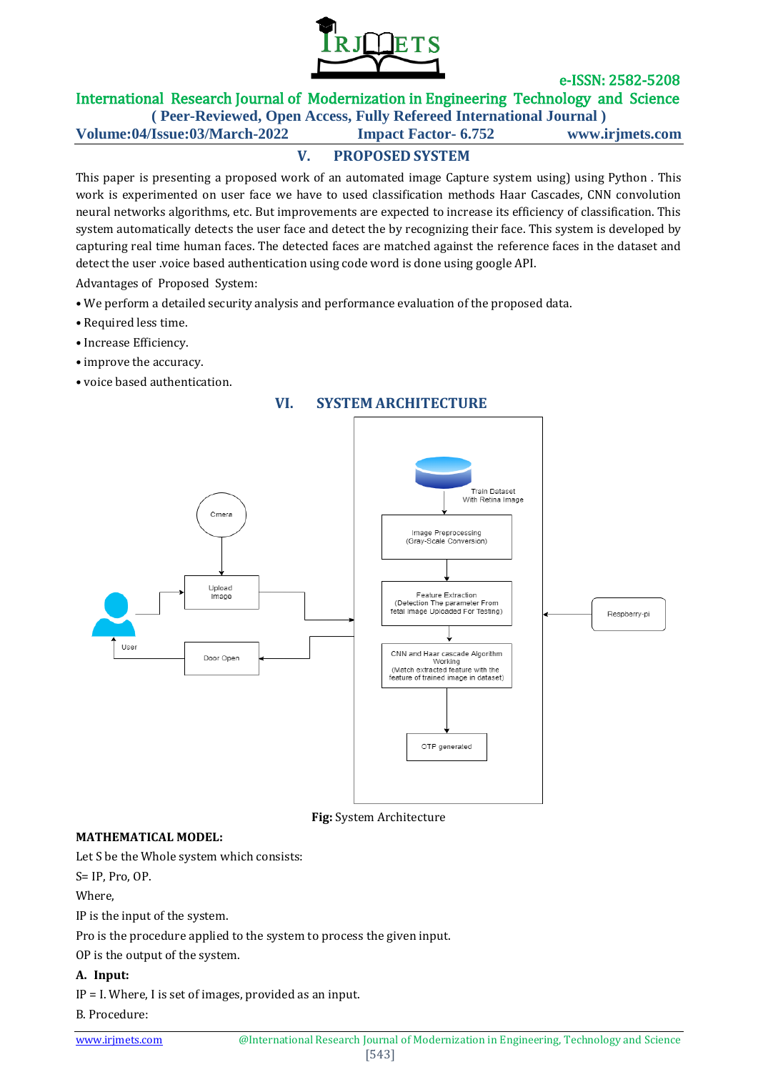

International Research Journal of Modernization in Engineering Technology and Science

**( Peer-Reviewed, Open Access, Fully Refereed International Journal ) Volume:04/Issue:03/March-2022 Impact Factor- 6.752 www.irjmets.com**

# **V. PROPOSED SYSTEM**

This paper is presenting a proposed work of an automated image Capture system using) using Python . This work is experimented on user face we have to used classification methods Haar Cascades, CNN convolution neural networks algorithms, etc. But improvements are expected to increase its efficiency of classification. This system automatically detects the user face and detect the by recognizing their face. This system is developed by capturing real time human faces. The detected faces are matched against the reference faces in the dataset and detect the user .voice based authentication using code word is done using google API.

Advantages of Proposed System:

- We perform a detailed security analysis and performance evaluation of the proposed data.
- Required less time.
- Increase Efficiency.
- improve the accuracy.
- voice based authentication.

# **VI. SYSTEM ARCHITECTURE**



**Fig:** System Architecture

## **MATHEMATICAL MODEL:**

Let S be the Whole system which consists:

S= IP, Pro, OP.

Where,

IP is the input of the system.

Pro is the procedure applied to the system to process the given input.

OP is the output of the system.

## **A. Input:**

IP = I. Where, I is set of images, provided as an input.

B. Procedure: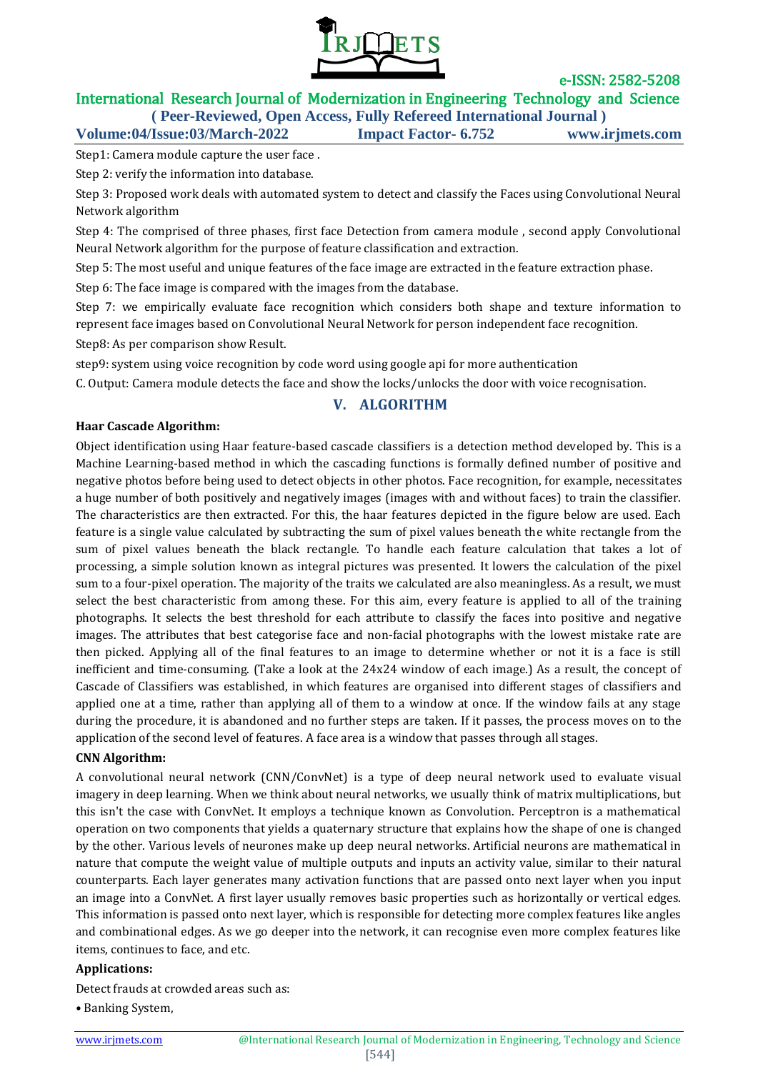

# International Research Journal of Modernization in Engineering Technology and Science **( Peer-Reviewed, Open Access, Fully Refereed International Journal )**

**Volume:04/Issue:03/March-2022 Impact Factor- 6.752 www.irjmets.com**

Step1: Camera module capture the user face .

Step 2: verify the information into database.

Step 3: Proposed work deals with automated system to detect and classify the Faces using Convolutional Neural Network algorithm

Step 4: The comprised of three phases, first face Detection from camera module , second apply Convolutional Neural Network algorithm for the purpose of feature classification and extraction.

Step 5: The most useful and unique features of the face image are extracted in the feature extraction phase.

Step 6: The face image is compared with the images from the database.

Step 7: we empirically evaluate face recognition which considers both shape and texture information to represent face images based on Convolutional Neural Network for person independent face recognition.

Step8: As per comparison show Result.

step9: system using voice recognition by code word using google api for more authentication

C. Output: Camera module detects the face and show the locks/unlocks the door with voice recognisation.

## **V. ALGORITHM**

#### **Haar Cascade Algorithm:**

Object identification using Haar feature-based cascade classifiers is a detection method developed by. This is a Machine Learning-based method in which the cascading functions is formally defined number of positive and negative photos before being used to detect objects in other photos. Face recognition, for example, necessitates a huge number of both positively and negatively images (images with and without faces) to train the classifier. The characteristics are then extracted. For this, the haar features depicted in the figure below are used. Each feature is a single value calculated by subtracting the sum of pixel values beneath the white rectangle from the sum of pixel values beneath the black rectangle. To handle each feature calculation that takes a lot of processing, a simple solution known as integral pictures was presented. It lowers the calculation of the pixel sum to a four-pixel operation. The majority of the traits we calculated are also meaningless. As a result, we must select the best characteristic from among these. For this aim, every feature is applied to all of the training photographs. It selects the best threshold for each attribute to classify the faces into positive and negative images. The attributes that best categorise face and non-facial photographs with the lowest mistake rate are then picked. Applying all of the final features to an image to determine whether or not it is a face is still inefficient and time-consuming. (Take a look at the 24x24 window of each image.) As a result, the concept of Cascade of Classifiers was established, in which features are organised into different stages of classifiers and applied one at a time, rather than applying all of them to a window at once. If the window fails at any stage during the procedure, it is abandoned and no further steps are taken. If it passes, the process moves on to the application of the second level of features. A face area is a window that passes through all stages.

#### **CNN Algorithm:**

A convolutional neural network (CNN/ConvNet) is a type of deep neural network used to evaluate visual imagery in deep learning. When we think about neural networks, we usually think of matrix multiplications, but this isn't the case with ConvNet. It employs a technique known as Convolution. Perceptron is a mathematical operation on two components that yields a quaternary structure that explains how the shape of one is changed by the other. Various levels of neurones make up deep neural networks. Artificial neurons are mathematical in nature that compute the weight value of multiple outputs and inputs an activity value, similar to their natural counterparts. Each layer generates many activation functions that are passed onto next layer when you input an image into a ConvNet. A first layer usually removes basic properties such as horizontally or vertical edges. This information is passed onto next layer, which is responsible for detecting more complex features like angles and combinational edges. As we go deeper into the network, it can recognise even more complex features like items, continues to face, and etc.

#### **Applications:**

Detect frauds at crowded areas such as:

• Banking System,